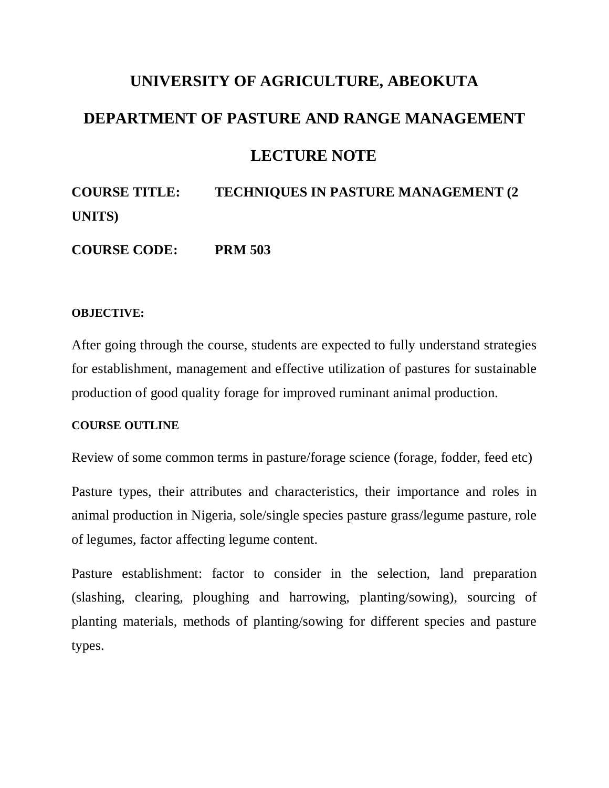# **UNIVERSITY OF AGRICULTURE, ABEOKUTA DEPARTMENT OF PASTURE AND RANGE MANAGEMENT LECTURE NOTE**

**COURSE TITLE: TECHNIQUES IN PASTURE MANAGEMENT (2 UNITS)**

**COURSE CODE: PRM 503**

#### **OBJECTIVE:**

After going through the course, students are expected to fully understand strategies for establishment, management and effective utilization of pastures for sustainable production of good quality forage for improved ruminant animal production.

#### **COURSE OUTLINE**

Review of some common terms in pasture/forage science (forage, fodder, feed etc)

Pasture types, their attributes and characteristics, their importance and roles in animal production in Nigeria, sole/single species pasture grass/legume pasture, role of legumes, factor affecting legume content.

Pasture establishment: factor to consider in the selection, land preparation (slashing, clearing, ploughing and harrowing, planting/sowing), sourcing of planting materials, methods of planting/sowing for different species and pasture types.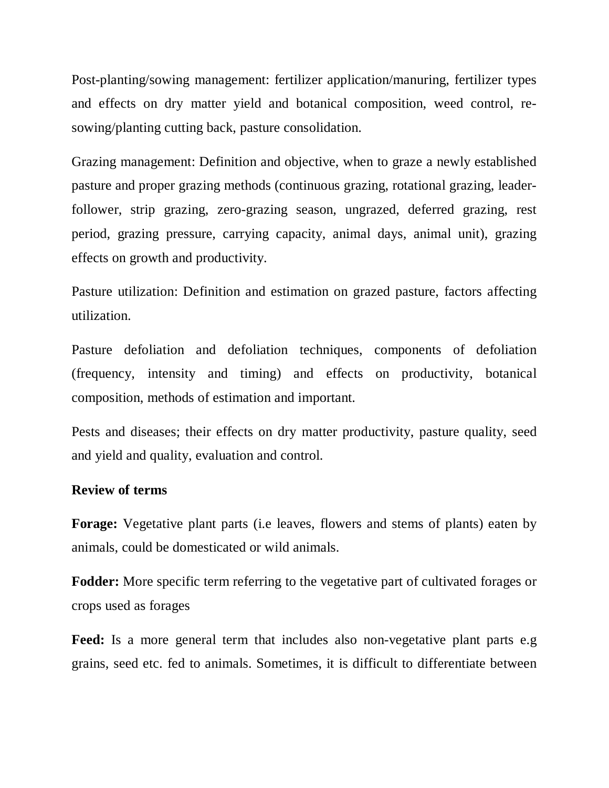Post-planting/sowing management: fertilizer application/manuring, fertilizer types and effects on dry matter yield and botanical composition, weed control, resowing/planting cutting back, pasture consolidation.

Grazing management: Definition and objective, when to graze a newly established pasture and proper grazing methods (continuous grazing, rotational grazing, leaderfollower, strip grazing, zero-grazing season, ungrazed, deferred grazing, rest period, grazing pressure, carrying capacity, animal days, animal unit), grazing effects on growth and productivity.

Pasture utilization: Definition and estimation on grazed pasture, factors affecting utilization.

Pasture defoliation and defoliation techniques, components of defoliation (frequency, intensity and timing) and effects on productivity, botanical composition, methods of estimation and important.

Pests and diseases; their effects on dry matter productivity, pasture quality, seed and yield and quality, evaluation and control.

#### **Review of terms**

**Forage:** Vegetative plant parts (i.e leaves, flowers and stems of plants) eaten by animals, could be domesticated or wild animals.

**Fodder:** More specific term referring to the vegetative part of cultivated forages or crops used as forages

**Feed:** Is a more general term that includes also non-vegetative plant parts e.g grains, seed etc. fed to animals. Sometimes, it is difficult to differentiate between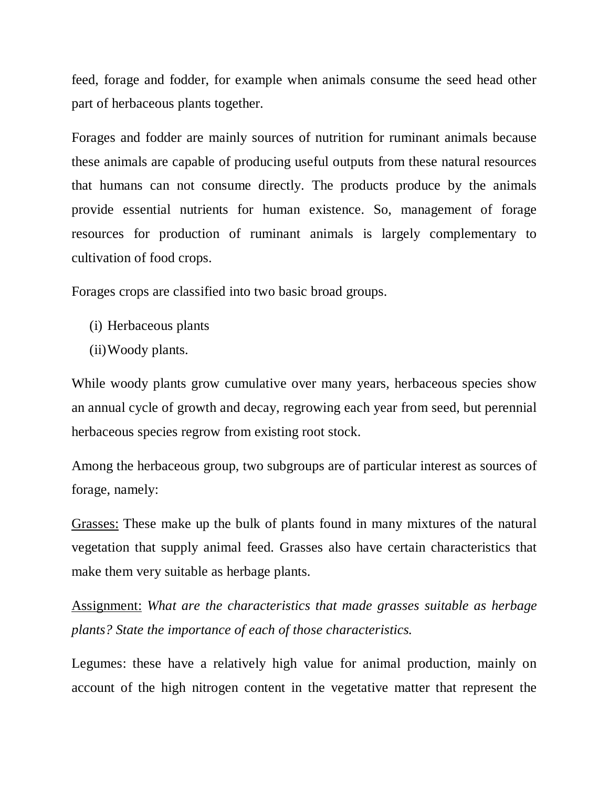feed, forage and fodder, for example when animals consume the seed head other part of herbaceous plants together.

Forages and fodder are mainly sources of nutrition for ruminant animals because these animals are capable of producing useful outputs from these natural resources that humans can not consume directly. The products produce by the animals provide essential nutrients for human existence. So, management of forage resources for production of ruminant animals is largely complementary to cultivation of food crops.

Forages crops are classified into two basic broad groups.

- (i) Herbaceous plants
- (ii)Woody plants.

While woody plants grow cumulative over many years, herbaceous species show an annual cycle of growth and decay, regrowing each year from seed, but perennial herbaceous species regrow from existing root stock.

Among the herbaceous group, two subgroups are of particular interest as sources of forage, namely:

Grasses: These make up the bulk of plants found in many mixtures of the natural vegetation that supply animal feed. Grasses also have certain characteristics that make them very suitable as herbage plants.

Assignment: *What are the characteristics that made grasses suitable as herbage plants? State the importance of each of those characteristics.*

Legumes: these have a relatively high value for animal production, mainly on account of the high nitrogen content in the vegetative matter that represent the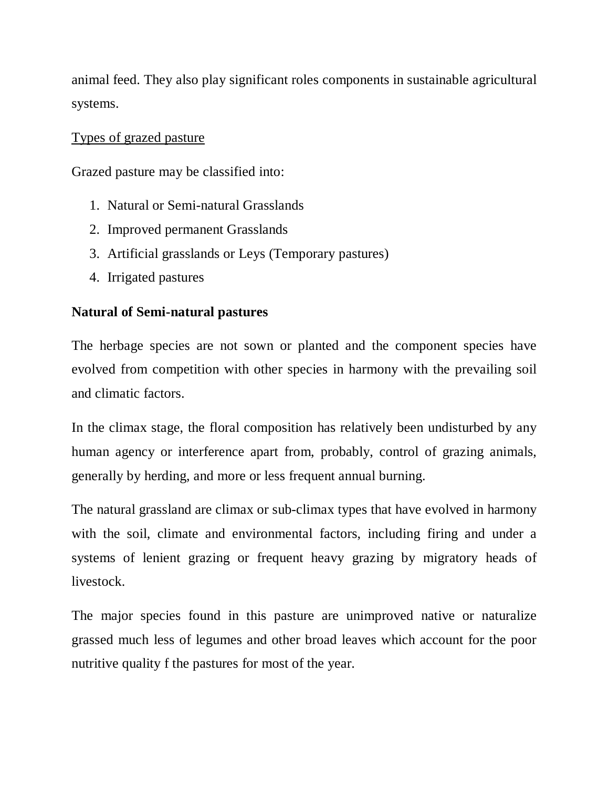animal feed. They also play significant roles components in sustainable agricultural systems.

## Types of grazed pasture

Grazed pasture may be classified into:

- 1. Natural or Semi-natural Grasslands
- 2. Improved permanent Grasslands
- 3. Artificial grasslands or Leys (Temporary pastures)
- 4. Irrigated pastures

## **Natural of Semi-natural pastures**

The herbage species are not sown or planted and the component species have evolved from competition with other species in harmony with the prevailing soil and climatic factors.

In the climax stage, the floral composition has relatively been undisturbed by any human agency or interference apart from, probably, control of grazing animals, generally by herding, and more or less frequent annual burning.

The natural grassland are climax or sub-climax types that have evolved in harmony with the soil, climate and environmental factors, including firing and under a systems of lenient grazing or frequent heavy grazing by migratory heads of livestock.

The major species found in this pasture are unimproved native or naturalize grassed much less of legumes and other broad leaves which account for the poor nutritive quality f the pastures for most of the year.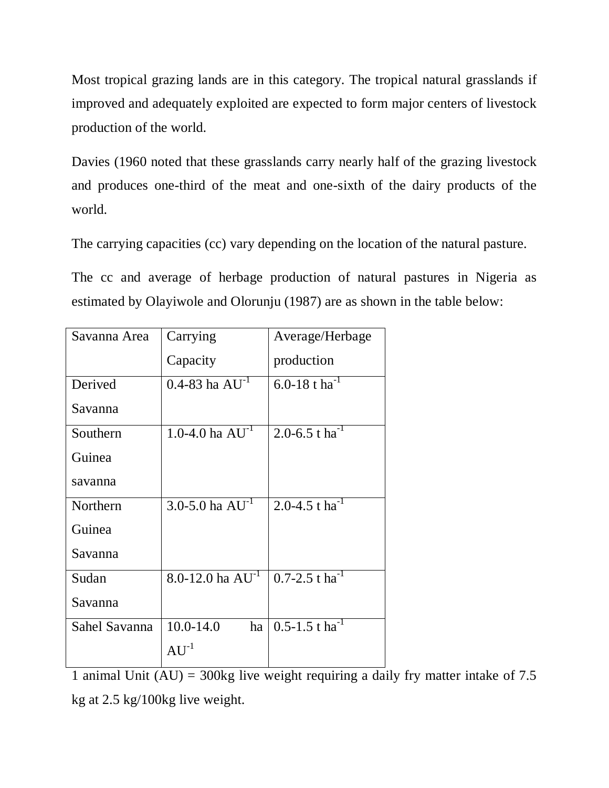Most tropical grazing lands are in this category. The tropical natural grasslands if improved and adequately exploited are expected to form major centers of livestock production of the world.

Davies (1960 noted that these grasslands carry nearly half of the grazing livestock and produces one-third of the meat and one-sixth of the dairy products of the world.

The carrying capacities (cc) vary depending on the location of the natural pasture.

The cc and average of herbage production of natural pastures in Nigeria as estimated by Olayiwole and Olorunju (1987) are as shown in the table below:

| Savanna Area  | Carrying                | Average/Herbage                |
|---------------|-------------------------|--------------------------------|
|               | Capacity                | production                     |
| Derived       | $0.4 - 83$ ha $AU^{-1}$ | 6.0-18 t ha <sup>-1</sup>      |
| Savanna       |                         |                                |
| Southern      | 1.0-4.0 ha $AU^{-1}$    | 2.0-6.5 t ha <sup>-1</sup>     |
| Guinea        |                         |                                |
| savanna       |                         |                                |
| Northern      | 3.0-5.0 ha $AU^{-1}$    | 2.0-4.5 t ha <sup>-1</sup>     |
| Guinea        |                         |                                |
| Savanna       |                         |                                |
| Sudan         | 8.0-12.0 ha $AU^{-1}$   | $0.7 - 2.5$ t ha <sup>-1</sup> |
| Savanna       |                         |                                |
| Sahel Savanna | $10.0 - 14.0$<br>ha     | $0.5 - 1.5$ t ha <sup>-1</sup> |
|               | $AU^{-1}$               |                                |

1 animal Unit  $(AU) = 300kg$  live weight requiring a daily fry matter intake of 7.5 kg at 2.5 kg/100kg live weight.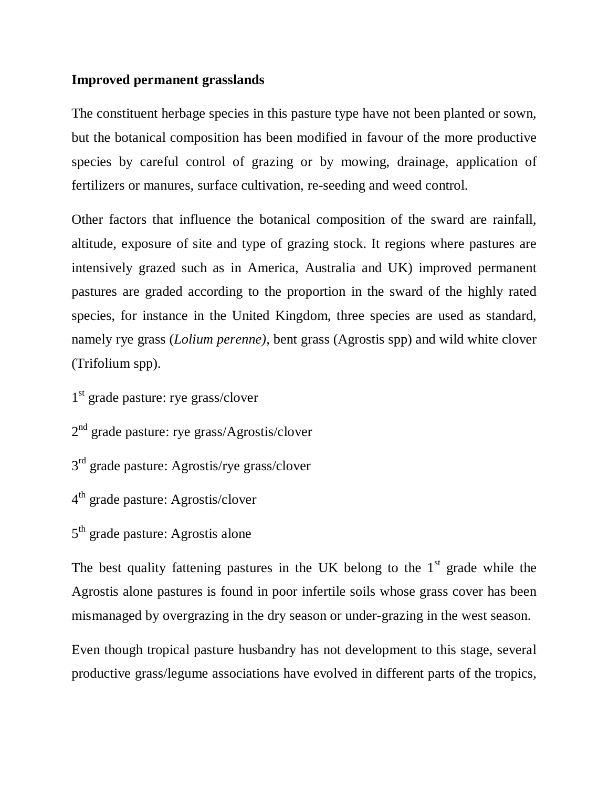## **Improved permanent grasslands**

The constituent herbage species in this pasture type have not been planted or sown, but the botanical composition has been modified in favour of the more productive species by careful control of grazing or by mowing, drainage, application of fertilizers or manures, surface cultivation, re-seeding and weed control.

Other factors that influence the botanical composition of the sward are rainfall, altitude, exposure of site and type of grazing stock. It regions where pastures are intensively grazed such as in America, Australia and UK) improved permanent pastures are graded according to the proportion in the sward of the highly rated species, for instance in the United Kingdom, three species are used as standard, namely rye grass (*Lolium perenne)*, bent grass (Agrostis spp) and wild white clover (Trifolium spp).

1<sup>st</sup> grade pasture: rye grass/clover

2<sup>nd</sup> grade pasture: rye grass/Agrostis/clover

3<sup>rd</sup> grade pasture: Agrostis/rye grass/clover

4<sup>th</sup> grade pasture: Agrostis/clover

5<sup>th</sup> grade pasture: Agrostis alone

The best quality fattening pastures in the UK belong to the  $1<sup>st</sup>$  grade while the Agrostis alone pastures is found in poor infertile soils whose grass cover has been mismanaged by overgrazing in the dry season or under-grazing in the west season.

Even though tropical pasture husbandry has not development to this stage, several productive grass/legume associations have evolved in different parts of the tropics,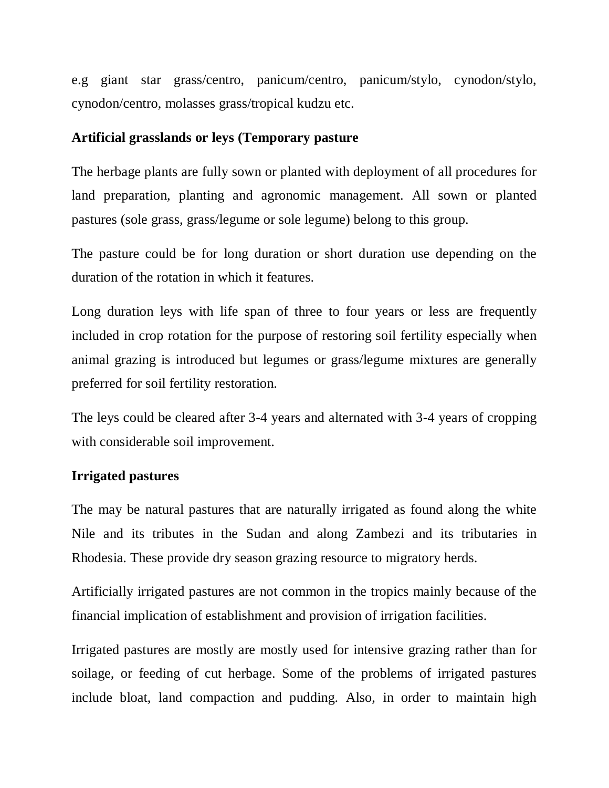e.g giant star grass/centro, panicum/centro, panicum/stylo, cynodon/stylo, cynodon/centro, molasses grass/tropical kudzu etc.

## **Artificial grasslands or leys (Temporary pasture**

The herbage plants are fully sown or planted with deployment of all procedures for land preparation, planting and agronomic management. All sown or planted pastures (sole grass, grass/legume or sole legume) belong to this group.

The pasture could be for long duration or short duration use depending on the duration of the rotation in which it features.

Long duration leys with life span of three to four years or less are frequently included in crop rotation for the purpose of restoring soil fertility especially when animal grazing is introduced but legumes or grass/legume mixtures are generally preferred for soil fertility restoration.

The leys could be cleared after 3-4 years and alternated with 3-4 years of cropping with considerable soil improvement.

## **Irrigated pastures**

The may be natural pastures that are naturally irrigated as found along the white Nile and its tributes in the Sudan and along Zambezi and its tributaries in Rhodesia. These provide dry season grazing resource to migratory herds.

Artificially irrigated pastures are not common in the tropics mainly because of the financial implication of establishment and provision of irrigation facilities.

Irrigated pastures are mostly are mostly used for intensive grazing rather than for soilage, or feeding of cut herbage. Some of the problems of irrigated pastures include bloat, land compaction and pudding. Also, in order to maintain high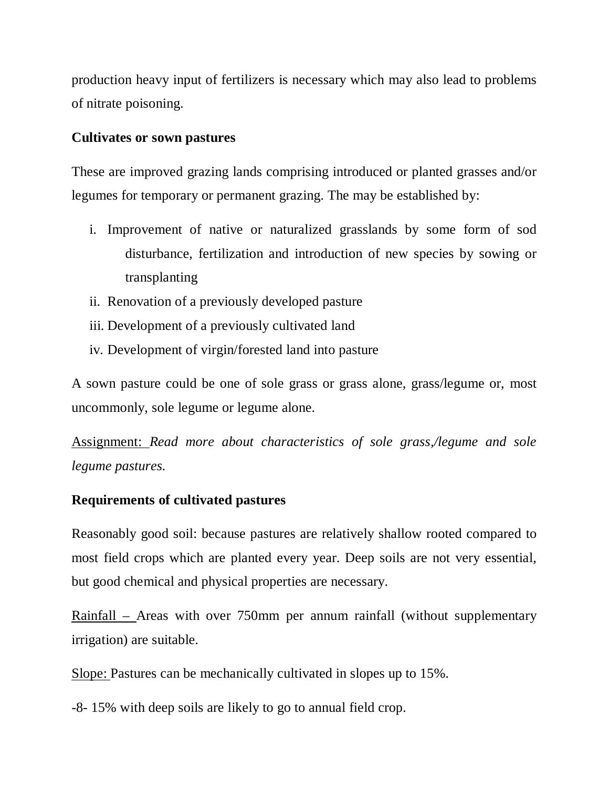production heavy input of fertilizers is necessary which may also lead to problems of nitrate poisoning.

## **Cultivates or sown pastures**

These are improved grazing lands comprising introduced or planted grasses and/or legumes for temporary or permanent grazing. The may be established by:

- i. Improvement of native or naturalized grasslands by some form of sod disturbance, fertilization and introduction of new species by sowing or transplanting
- ii. Renovation of a previously developed pasture
- iii. Development of a previously cultivated land
- iv. Development of virgin/forested land into pasture

A sown pasture could be one of sole grass or grass alone, grass/legume or, most uncommonly, sole legume or legume alone.

Assignment: *Read more about characteristics of sole grass,/legume and sole legume pastures.*

# **Requirements of cultivated pastures**

Reasonably good soil: because pastures are relatively shallow rooted compared to most field crops which are planted every year. Deep soils are not very essential, but good chemical and physical properties are necessary.

Rainfall – Areas with over 750mm per annum rainfall (without supplementary irrigation) are suitable.

Slope: Pastures can be mechanically cultivated in slopes up to 15%.

-8- 15% with deep soils are likely to go to annual field crop.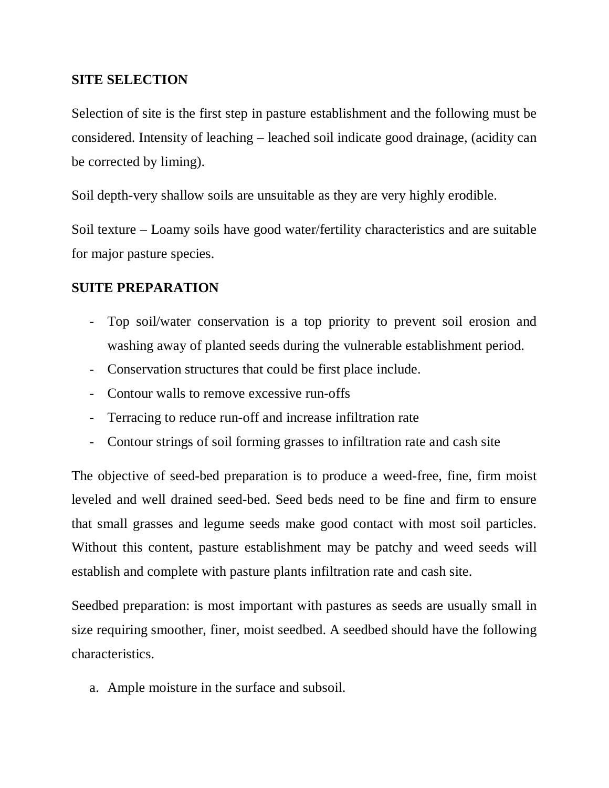## **SITE SELECTION**

Selection of site is the first step in pasture establishment and the following must be considered. Intensity of leaching – leached soil indicate good drainage, (acidity can be corrected by liming).

Soil depth-very shallow soils are unsuitable as they are very highly erodible.

Soil texture – Loamy soils have good water/fertility characteristics and are suitable for major pasture species.

## **SUITE PREPARATION**

- Top soil/water conservation is a top priority to prevent soil erosion and washing away of planted seeds during the vulnerable establishment period.
- Conservation structures that could be first place include.
- Contour walls to remove excessive run-offs
- Terracing to reduce run-off and increase infiltration rate
- Contour strings of soil forming grasses to infiltration rate and cash site

The objective of seed-bed preparation is to produce a weed-free, fine, firm moist leveled and well drained seed-bed. Seed beds need to be fine and firm to ensure that small grasses and legume seeds make good contact with most soil particles. Without this content, pasture establishment may be patchy and weed seeds will establish and complete with pasture plants infiltration rate and cash site.

Seedbed preparation: is most important with pastures as seeds are usually small in size requiring smoother, finer, moist seedbed. A seedbed should have the following characteristics.

a. Ample moisture in the surface and subsoil.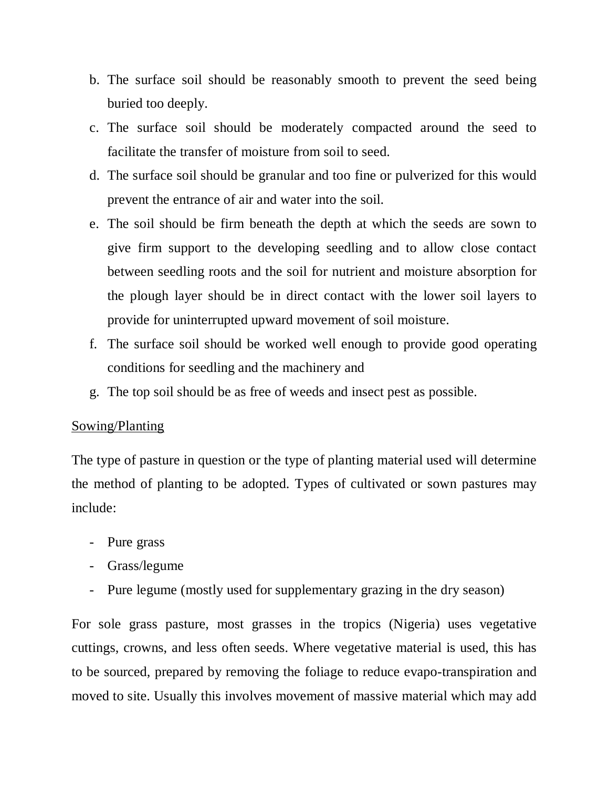- b. The surface soil should be reasonably smooth to prevent the seed being buried too deeply.
- c. The surface soil should be moderately compacted around the seed to facilitate the transfer of moisture from soil to seed.
- d. The surface soil should be granular and too fine or pulverized for this would prevent the entrance of air and water into the soil.
- e. The soil should be firm beneath the depth at which the seeds are sown to give firm support to the developing seedling and to allow close contact between seedling roots and the soil for nutrient and moisture absorption for the plough layer should be in direct contact with the lower soil layers to provide for uninterrupted upward movement of soil moisture.
- f. The surface soil should be worked well enough to provide good operating conditions for seedling and the machinery and
- g. The top soil should be as free of weeds and insect pest as possible.

## Sowing/Planting

The type of pasture in question or the type of planting material used will determine the method of planting to be adopted. Types of cultivated or sown pastures may include:

- Pure grass
- Grass/legume
- Pure legume (mostly used for supplementary grazing in the dry season)

For sole grass pasture, most grasses in the tropics (Nigeria) uses vegetative cuttings, crowns, and less often seeds. Where vegetative material is used, this has to be sourced, prepared by removing the foliage to reduce evapo-transpiration and moved to site. Usually this involves movement of massive material which may add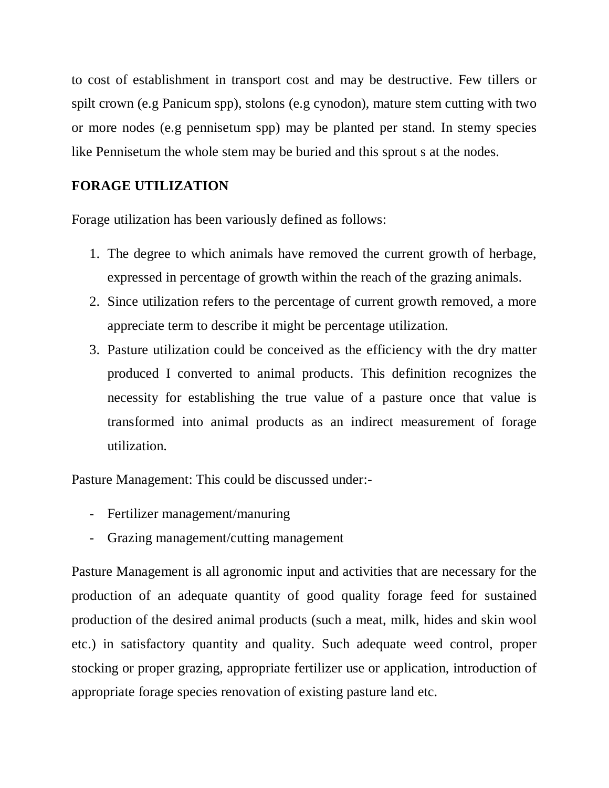to cost of establishment in transport cost and may be destructive. Few tillers or spilt crown (e.g Panicum spp), stolons (e.g cynodon), mature stem cutting with two or more nodes (e.g pennisetum spp) may be planted per stand. In stemy species like Pennisetum the whole stem may be buried and this sprout s at the nodes.

## **FORAGE UTILIZATION**

Forage utilization has been variously defined as follows:

- 1. The degree to which animals have removed the current growth of herbage, expressed in percentage of growth within the reach of the grazing animals.
- 2. Since utilization refers to the percentage of current growth removed, a more appreciate term to describe it might be percentage utilization.
- 3. Pasture utilization could be conceived as the efficiency with the dry matter produced I converted to animal products. This definition recognizes the necessity for establishing the true value of a pasture once that value is transformed into animal products as an indirect measurement of forage utilization.

Pasture Management: This could be discussed under:-

- Fertilizer management/manuring
- Grazing management/cutting management

Pasture Management is all agronomic input and activities that are necessary for the production of an adequate quantity of good quality forage feed for sustained production of the desired animal products (such a meat, milk, hides and skin wool etc.) in satisfactory quantity and quality. Such adequate weed control, proper stocking or proper grazing, appropriate fertilizer use or application, introduction of appropriate forage species renovation of existing pasture land etc.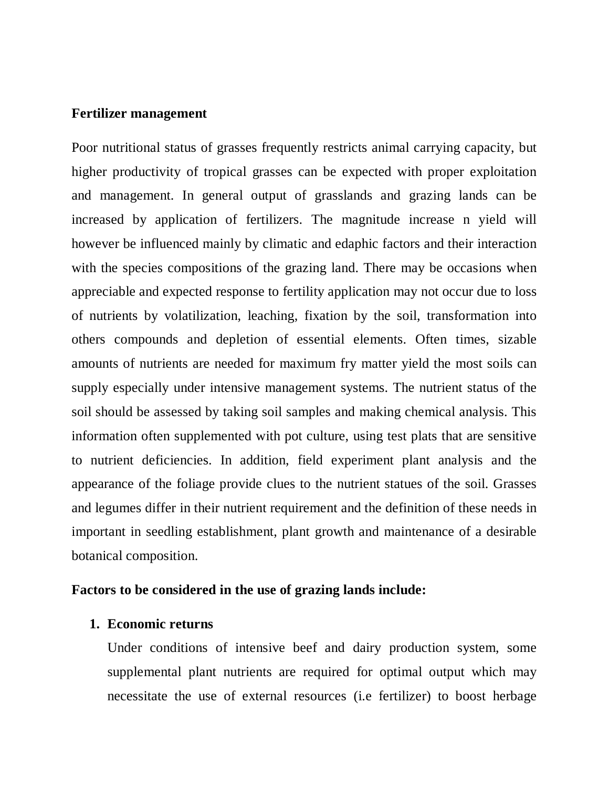#### **Fertilizer management**

Poor nutritional status of grasses frequently restricts animal carrying capacity, but higher productivity of tropical grasses can be expected with proper exploitation and management. In general output of grasslands and grazing lands can be increased by application of fertilizers. The magnitude increase n yield will however be influenced mainly by climatic and edaphic factors and their interaction with the species compositions of the grazing land. There may be occasions when appreciable and expected response to fertility application may not occur due to loss of nutrients by volatilization, leaching, fixation by the soil, transformation into others compounds and depletion of essential elements. Often times, sizable amounts of nutrients are needed for maximum fry matter yield the most soils can supply especially under intensive management systems. The nutrient status of the soil should be assessed by taking soil samples and making chemical analysis. This information often supplemented with pot culture, using test plats that are sensitive to nutrient deficiencies. In addition, field experiment plant analysis and the appearance of the foliage provide clues to the nutrient statues of the soil. Grasses and legumes differ in their nutrient requirement and the definition of these needs in important in seedling establishment, plant growth and maintenance of a desirable botanical composition.

#### **Factors to be considered in the use of grazing lands include:**

#### **1. Economic returns**

Under conditions of intensive beef and dairy production system, some supplemental plant nutrients are required for optimal output which may necessitate the use of external resources (i.e fertilizer) to boost herbage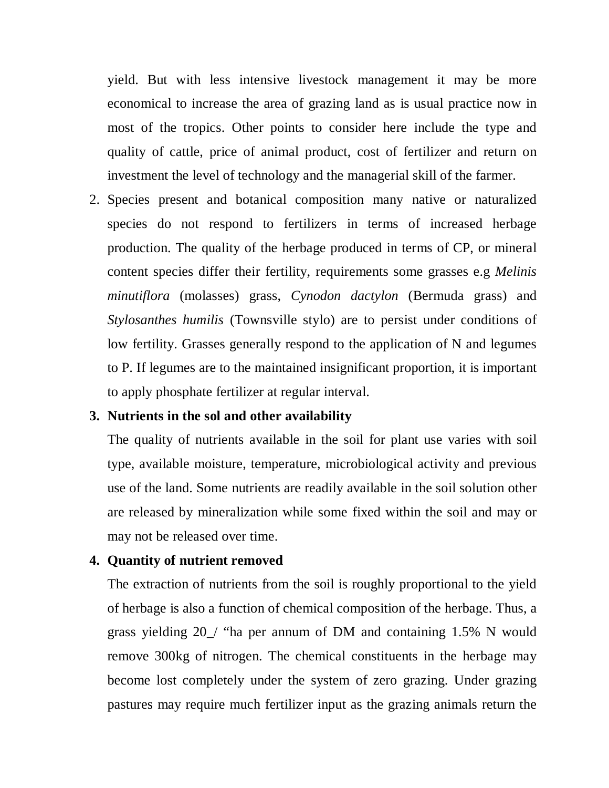yield. But with less intensive livestock management it may be more economical to increase the area of grazing land as is usual practice now in most of the tropics. Other points to consider here include the type and quality of cattle, price of animal product, cost of fertilizer and return on investment the level of technology and the managerial skill of the farmer.

2. Species present and botanical composition many native or naturalized species do not respond to fertilizers in terms of increased herbage production. The quality of the herbage produced in terms of CP, or mineral content species differ their fertility, requirements some grasses e.g *Melinis minutiflora* (molasses) grass, *Cynodon dactylon* (Bermuda grass) and *Stylosanthes humilis* (Townsville stylo) are to persist under conditions of low fertility. Grasses generally respond to the application of N and legumes to P. If legumes are to the maintained insignificant proportion, it is important to apply phosphate fertilizer at regular interval.

#### **3. Nutrients in the sol and other availability**

The quality of nutrients available in the soil for plant use varies with soil type, available moisture, temperature, microbiological activity and previous use of the land. Some nutrients are readily available in the soil solution other are released by mineralization while some fixed within the soil and may or may not be released over time.

#### **4. Quantity of nutrient removed**

The extraction of nutrients from the soil is roughly proportional to the yield of herbage is also a function of chemical composition of the herbage. Thus, a grass yielding 20\_/ "ha per annum of DM and containing 1.5% N would remove 300kg of nitrogen. The chemical constituents in the herbage may become lost completely under the system of zero grazing. Under grazing pastures may require much fertilizer input as the grazing animals return the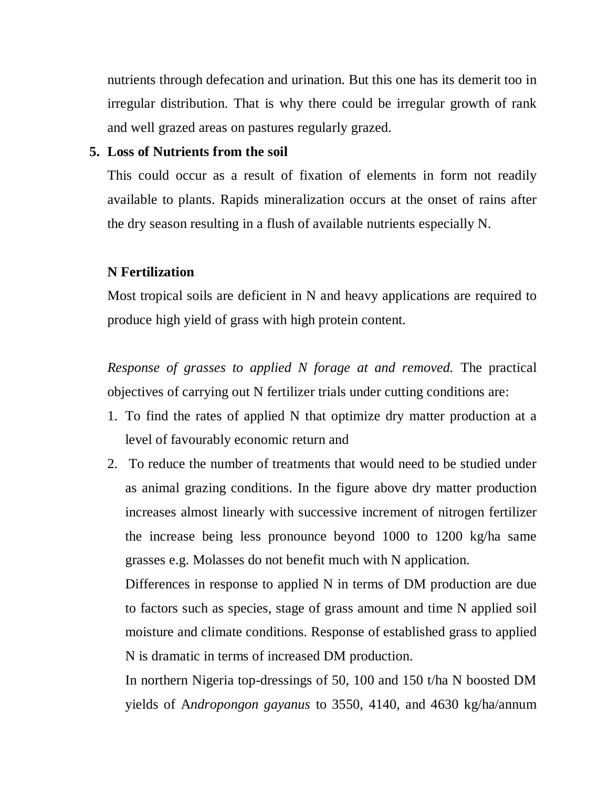nutrients through defecation and urination. But this one has its demerit too in irregular distribution. That is why there could be irregular growth of rank and well grazed areas on pastures regularly grazed.

## **5. Loss of Nutrients from the soil**

This could occur as a result of fixation of elements in form not readily available to plants. Rapids mineralization occurs at the onset of rains after the dry season resulting in a flush of available nutrients especially N.

#### **N Fertilization**

Most tropical soils are deficient in N and heavy applications are required to produce high yield of grass with high protein content.

*Response of grasses to applied N forage at and removed.* The practical objectives of carrying out N fertilizer trials under cutting conditions are:

- 1. To find the rates of applied N that optimize dry matter production at a level of favourably economic return and
- 2. To reduce the number of treatments that would need to be studied under as animal grazing conditions. In the figure above dry matter production increases almost linearly with successive increment of nitrogen fertilizer the increase being less pronounce beyond 1000 to 1200 kg/ha same grasses e.g. Molasses do not benefit much with N application.

Differences in response to applied N in terms of DM production are due to factors such as species, stage of grass amount and time N applied soil moisture and climate conditions. Response of established grass to applied N is dramatic in terms of increased DM production.

In northern Nigeria top-dressings of 50, 100 and 150 t/ha N boosted DM yields of A*ndropongon gayanus* to 3550, 4140, and 4630 kg/ha/annum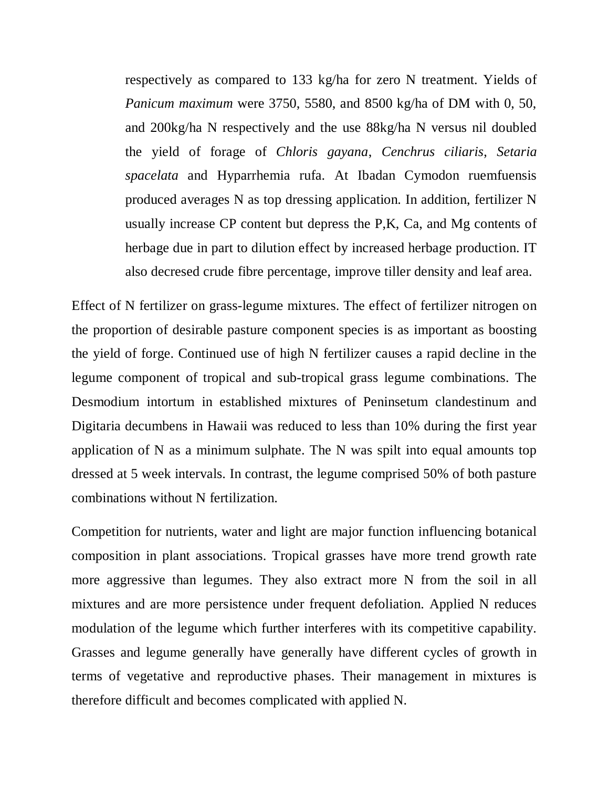respectively as compared to 133 kg/ha for zero N treatment. Yields of *Panicum maximum* were 3750, 5580, and 8500 kg/ha of DM with 0, 50, and 200kg/ha N respectively and the use 88kg/ha N versus nil doubled the yield of forage of *Chloris gayana*, *Cenchrus ciliaris*, *Setaria spacelata* and Hyparrhemia rufa. At Ibadan Cymodon ruemfuensis produced averages N as top dressing application. In addition, fertilizer N usually increase CP content but depress the P,K, Ca, and Mg contents of herbage due in part to dilution effect by increased herbage production. IT also decresed crude fibre percentage, improve tiller density and leaf area.

Effect of N fertilizer on grass-legume mixtures. The effect of fertilizer nitrogen on the proportion of desirable pasture component species is as important as boosting the yield of forge. Continued use of high N fertilizer causes a rapid decline in the legume component of tropical and sub-tropical grass legume combinations. The Desmodium intortum in established mixtures of Peninsetum clandestinum and Digitaria decumbens in Hawaii was reduced to less than 10% during the first year application of N as a minimum sulphate. The N was spilt into equal amounts top dressed at 5 week intervals. In contrast, the legume comprised 50% of both pasture combinations without N fertilization.

Competition for nutrients, water and light are major function influencing botanical composition in plant associations. Tropical grasses have more trend growth rate more aggressive than legumes. They also extract more N from the soil in all mixtures and are more persistence under frequent defoliation. Applied N reduces modulation of the legume which further interferes with its competitive capability. Grasses and legume generally have generally have different cycles of growth in terms of vegetative and reproductive phases. Their management in mixtures is therefore difficult and becomes complicated with applied N.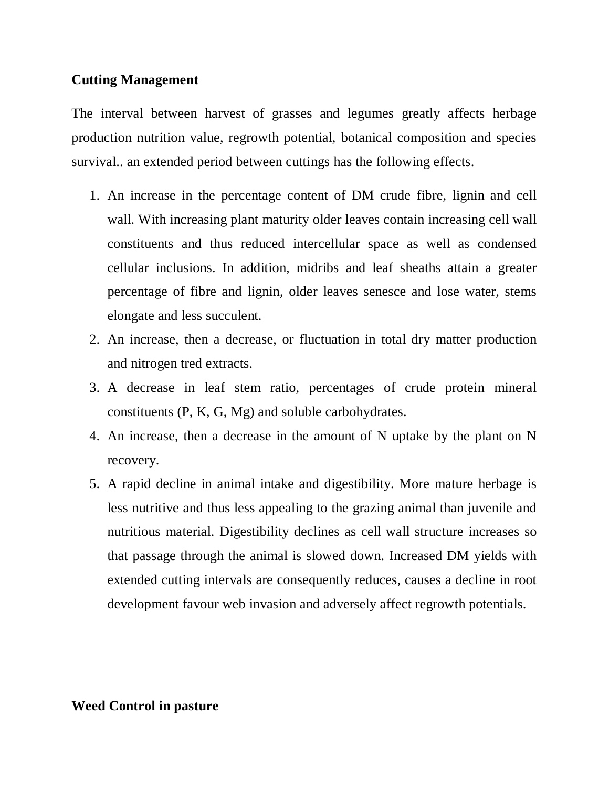## **Cutting Management**

The interval between harvest of grasses and legumes greatly affects herbage production nutrition value, regrowth potential, botanical composition and species survival.. an extended period between cuttings has the following effects.

- 1. An increase in the percentage content of DM crude fibre, lignin and cell wall. With increasing plant maturity older leaves contain increasing cell wall constituents and thus reduced intercellular space as well as condensed cellular inclusions. In addition, midribs and leaf sheaths attain a greater percentage of fibre and lignin, older leaves senesce and lose water, stems elongate and less succulent.
- 2. An increase, then a decrease, or fluctuation in total dry matter production and nitrogen tred extracts.
- 3. A decrease in leaf stem ratio, percentages of crude protein mineral constituents (P, K, G, Mg) and soluble carbohydrates.
- 4. An increase, then a decrease in the amount of N uptake by the plant on N recovery.
- 5. A rapid decline in animal intake and digestibility. More mature herbage is less nutritive and thus less appealing to the grazing animal than juvenile and nutritious material. Digestibility declines as cell wall structure increases so that passage through the animal is slowed down. Increased DM yields with extended cutting intervals are consequently reduces, causes a decline in root development favour web invasion and adversely affect regrowth potentials.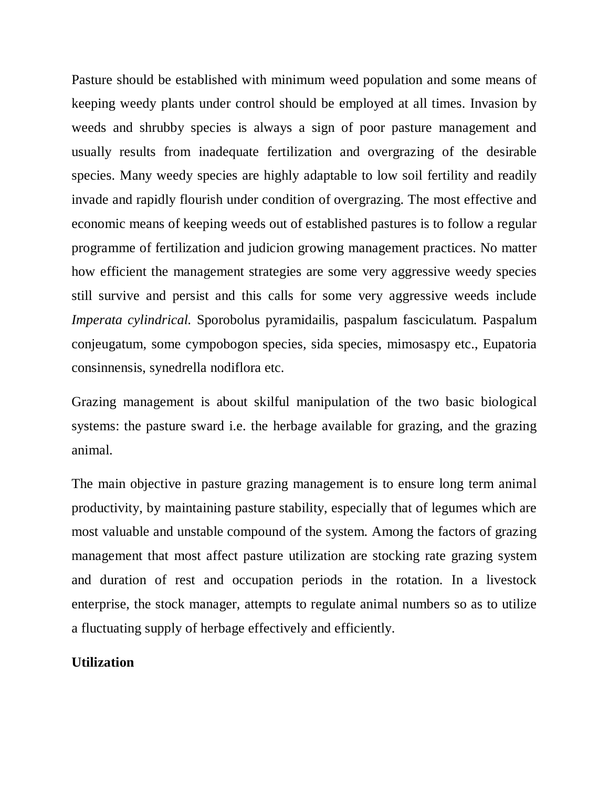Pasture should be established with minimum weed population and some means of keeping weedy plants under control should be employed at all times. Invasion by weeds and shrubby species is always a sign of poor pasture management and usually results from inadequate fertilization and overgrazing of the desirable species. Many weedy species are highly adaptable to low soil fertility and readily invade and rapidly flourish under condition of overgrazing. The most effective and economic means of keeping weeds out of established pastures is to follow a regular programme of fertilization and judicion growing management practices. No matter how efficient the management strategies are some very aggressive weedy species still survive and persist and this calls for some very aggressive weeds include *Imperata cylindrical.* Sporobolus pyramidailis, paspalum fasciculatum. Paspalum conjeugatum, some cympobogon species, sida species, mimosaspy etc., Eupatoria consinnensis, synedrella nodiflora etc.

Grazing management is about skilful manipulation of the two basic biological systems: the pasture sward i.e. the herbage available for grazing, and the grazing animal.

The main objective in pasture grazing management is to ensure long term animal productivity, by maintaining pasture stability, especially that of legumes which are most valuable and unstable compound of the system. Among the factors of grazing management that most affect pasture utilization are stocking rate grazing system and duration of rest and occupation periods in the rotation. In a livestock enterprise, the stock manager, attempts to regulate animal numbers so as to utilize a fluctuating supply of herbage effectively and efficiently.

## **Utilization**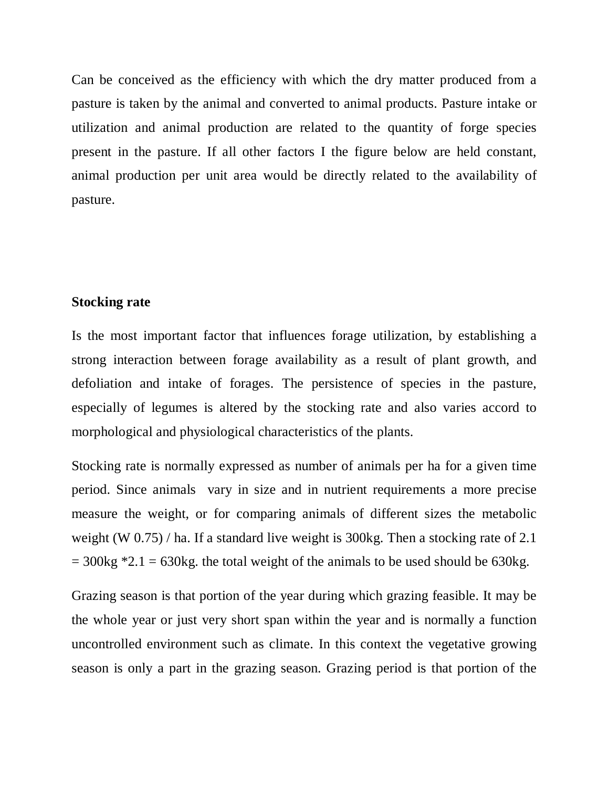Can be conceived as the efficiency with which the dry matter produced from a pasture is taken by the animal and converted to animal products. Pasture intake or utilization and animal production are related to the quantity of forge species present in the pasture. If all other factors I the figure below are held constant, animal production per unit area would be directly related to the availability of pasture.

#### **Stocking rate**

Is the most important factor that influences forage utilization, by establishing a strong interaction between forage availability as a result of plant growth, and defoliation and intake of forages. The persistence of species in the pasture, especially of legumes is altered by the stocking rate and also varies accord to morphological and physiological characteristics of the plants.

Stocking rate is normally expressed as number of animals per ha for a given time period. Since animals vary in size and in nutrient requirements a more precise measure the weight, or for comparing animals of different sizes the metabolic weight (W 0.75) / ha. If a standard live weight is 300kg. Then a stocking rate of 2.1  $= 300$ kg \*2.1 = 630kg. the total weight of the animals to be used should be 630kg.

Grazing season is that portion of the year during which grazing feasible. It may be the whole year or just very short span within the year and is normally a function uncontrolled environment such as climate. In this context the vegetative growing season is only a part in the grazing season. Grazing period is that portion of the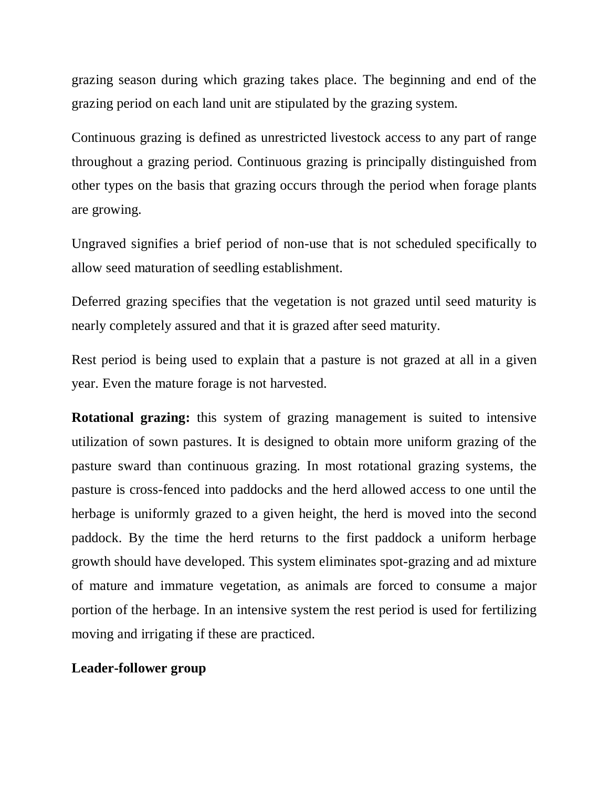grazing season during which grazing takes place. The beginning and end of the grazing period on each land unit are stipulated by the grazing system.

Continuous grazing is defined as unrestricted livestock access to any part of range throughout a grazing period. Continuous grazing is principally distinguished from other types on the basis that grazing occurs through the period when forage plants are growing.

Ungraved signifies a brief period of non-use that is not scheduled specifically to allow seed maturation of seedling establishment.

Deferred grazing specifies that the vegetation is not grazed until seed maturity is nearly completely assured and that it is grazed after seed maturity.

Rest period is being used to explain that a pasture is not grazed at all in a given year. Even the mature forage is not harvested.

**Rotational grazing:** this system of grazing management is suited to intensive utilization of sown pastures. It is designed to obtain more uniform grazing of the pasture sward than continuous grazing. In most rotational grazing systems, the pasture is cross-fenced into paddocks and the herd allowed access to one until the herbage is uniformly grazed to a given height, the herd is moved into the second paddock. By the time the herd returns to the first paddock a uniform herbage growth should have developed. This system eliminates spot-grazing and ad mixture of mature and immature vegetation, as animals are forced to consume a major portion of the herbage. In an intensive system the rest period is used for fertilizing moving and irrigating if these are practiced.

#### **Leader-follower group**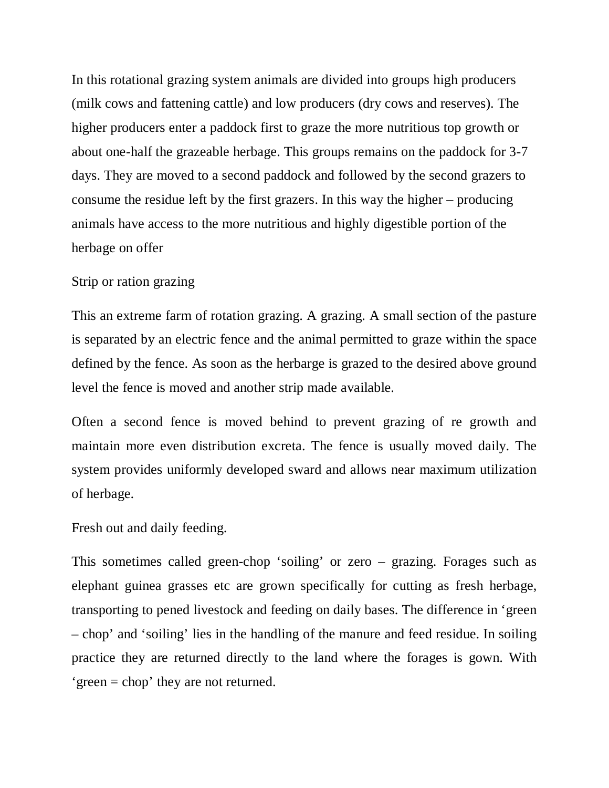In this rotational grazing system animals are divided into groups high producers (milk cows and fattening cattle) and low producers (dry cows and reserves). The higher producers enter a paddock first to graze the more nutritious top growth or about one-half the grazeable herbage. This groups remains on the paddock for 3-7 days. They are moved to a second paddock and followed by the second grazers to consume the residue left by the first grazers. In this way the higher – producing animals have access to the more nutritious and highly digestible portion of the herbage on offer

#### Strip or ration grazing

This an extreme farm of rotation grazing. A grazing. A small section of the pasture is separated by an electric fence and the animal permitted to graze within the space defined by the fence. As soon as the herbarge is grazed to the desired above ground level the fence is moved and another strip made available.

Often a second fence is moved behind to prevent grazing of re growth and maintain more even distribution excreta. The fence is usually moved daily. The system provides uniformly developed sward and allows near maximum utilization of herbage.

Fresh out and daily feeding.

This sometimes called green-chop 'soiling' or zero – grazing. Forages such as elephant guinea grasses etc are grown specifically for cutting as fresh herbage, transporting to pened livestock and feeding on daily bases. The difference in 'green – chop' and 'soiling' lies in the handling of the manure and feed residue. In soiling practice they are returned directly to the land where the forages is gown. With 'green = chop' they are not returned.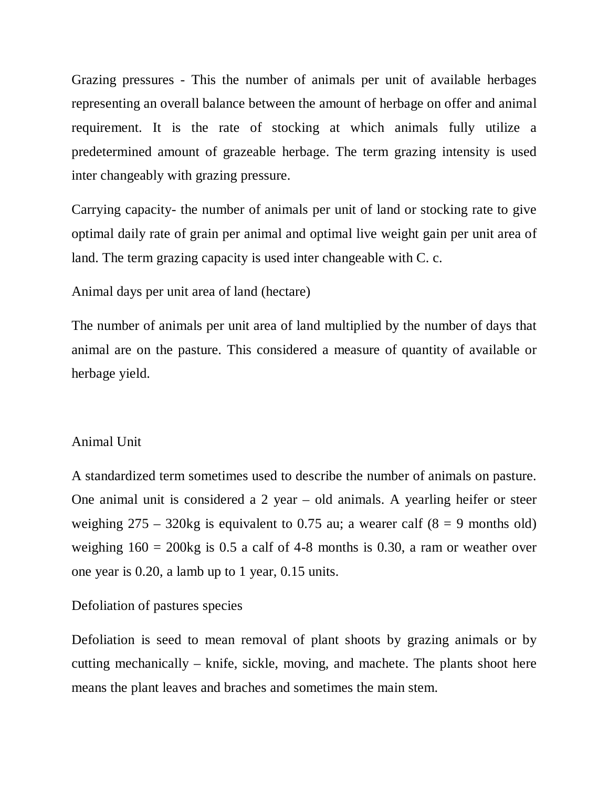Grazing pressures - This the number of animals per unit of available herbages representing an overall balance between the amount of herbage on offer and animal requirement. It is the rate of stocking at which animals fully utilize a predetermined amount of grazeable herbage. The term grazing intensity is used inter changeably with grazing pressure.

Carrying capacity- the number of animals per unit of land or stocking rate to give optimal daily rate of grain per animal and optimal live weight gain per unit area of land. The term grazing capacity is used inter changeable with C. c.

## Animal days per unit area of land (hectare)

The number of animals per unit area of land multiplied by the number of days that animal are on the pasture. This considered a measure of quantity of available or herbage yield.

#### Animal Unit

A standardized term sometimes used to describe the number of animals on pasture. One animal unit is considered a 2 year – old animals. A yearling heifer or steer weighing  $275 - 320$ kg is equivalent to 0.75 au; a wearer calf (8 = 9 months old) weighing  $160 = 200$ kg is 0.5 a calf of 4-8 months is 0.30, a ram or weather over one year is 0.20, a lamb up to 1 year, 0.15 units.

#### Defoliation of pastures species

Defoliation is seed to mean removal of plant shoots by grazing animals or by cutting mechanically – knife, sickle, moving, and machete. The plants shoot here means the plant leaves and braches and sometimes the main stem.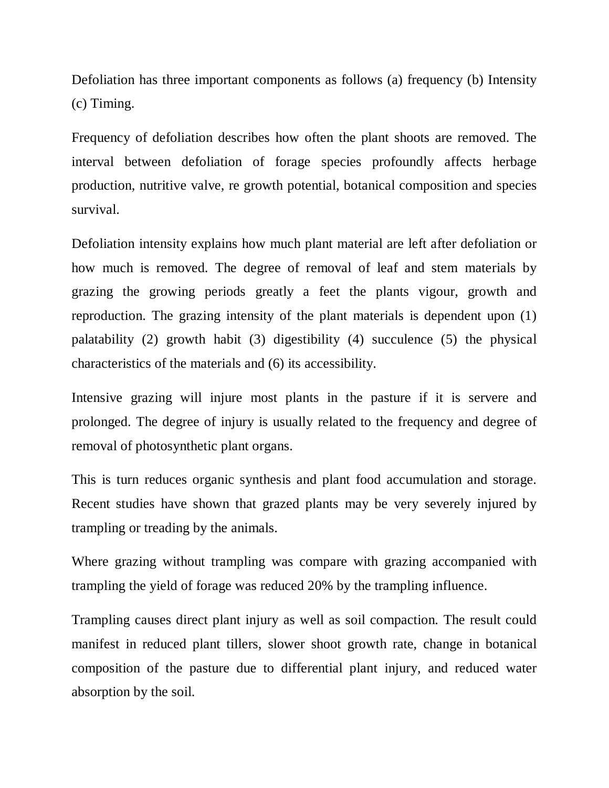Defoliation has three important components as follows (a) frequency (b) Intensity (c) Timing.

Frequency of defoliation describes how often the plant shoots are removed. The interval between defoliation of forage species profoundly affects herbage production, nutritive valve, re growth potential, botanical composition and species survival.

Defoliation intensity explains how much plant material are left after defoliation or how much is removed. The degree of removal of leaf and stem materials by grazing the growing periods greatly a feet the plants vigour, growth and reproduction. The grazing intensity of the plant materials is dependent upon (1) palatability (2) growth habit (3) digestibility (4) succulence (5) the physical characteristics of the materials and (6) its accessibility.

Intensive grazing will injure most plants in the pasture if it is servere and prolonged. The degree of injury is usually related to the frequency and degree of removal of photosynthetic plant organs.

This is turn reduces organic synthesis and plant food accumulation and storage. Recent studies have shown that grazed plants may be very severely injured by trampling or treading by the animals.

Where grazing without trampling was compare with grazing accompanied with trampling the yield of forage was reduced 20% by the trampling influence.

Trampling causes direct plant injury as well as soil compaction. The result could manifest in reduced plant tillers, slower shoot growth rate, change in botanical composition of the pasture due to differential plant injury, and reduced water absorption by the soil.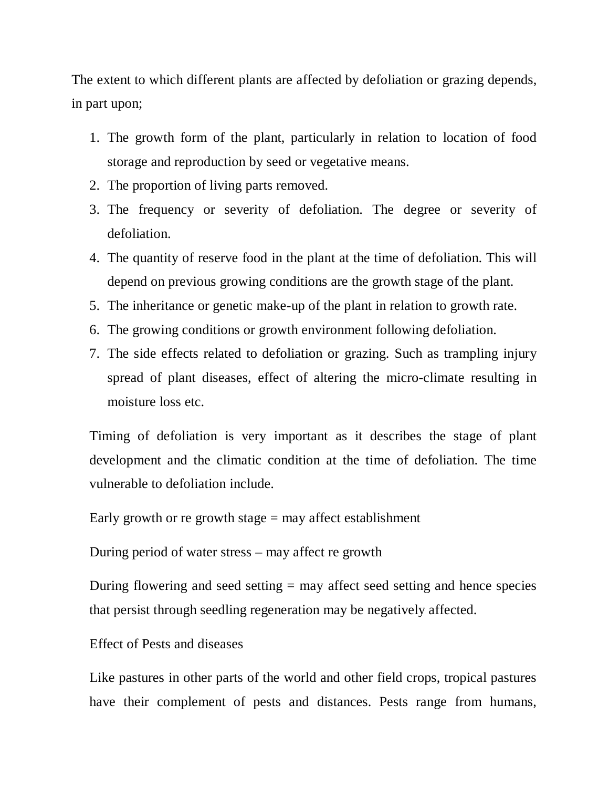The extent to which different plants are affected by defoliation or grazing depends, in part upon;

- 1. The growth form of the plant, particularly in relation to location of food storage and reproduction by seed or vegetative means.
- 2. The proportion of living parts removed.
- 3. The frequency or severity of defoliation. The degree or severity of defoliation.
- 4. The quantity of reserve food in the plant at the time of defoliation. This will depend on previous growing conditions are the growth stage of the plant.
- 5. The inheritance or genetic make-up of the plant in relation to growth rate.
- 6. The growing conditions or growth environment following defoliation.
- 7. The side effects related to defoliation or grazing. Such as trampling injury spread of plant diseases, effect of altering the micro-climate resulting in moisture loss etc.

Timing of defoliation is very important as it describes the stage of plant development and the climatic condition at the time of defoliation. The time vulnerable to defoliation include.

Early growth or re growth stage  $=$  may affect establishment

During period of water stress – may affect re growth

During flowering and seed setting  $=$  may affect seed setting and hence species that persist through seedling regeneration may be negatively affected.

Effect of Pests and diseases

Like pastures in other parts of the world and other field crops, tropical pastures have their complement of pests and distances. Pests range from humans,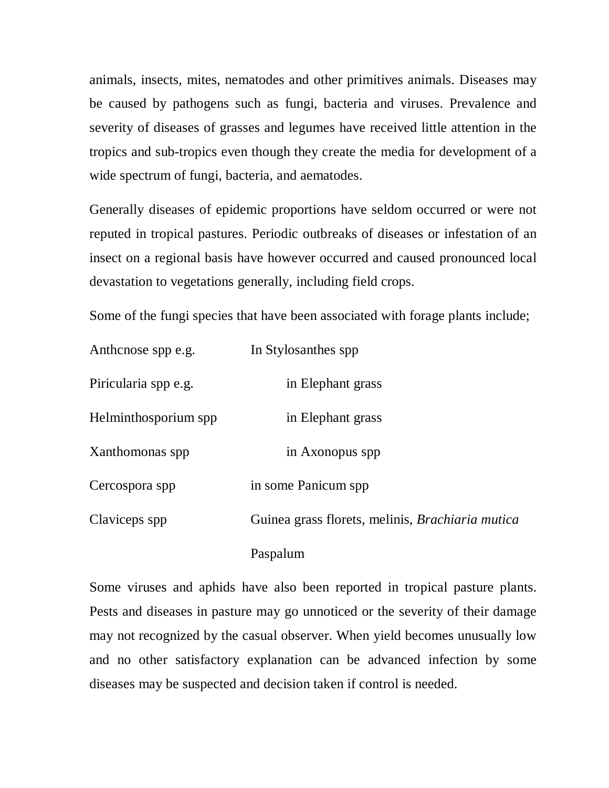animals, insects, mites, nematodes and other primitives animals. Diseases may be caused by pathogens such as fungi, bacteria and viruses. Prevalence and severity of diseases of grasses and legumes have received little attention in the tropics and sub-tropics even though they create the media for development of a wide spectrum of fungi, bacteria, and aematodes.

Generally diseases of epidemic proportions have seldom occurred or were not reputed in tropical pastures. Periodic outbreaks of diseases or infestation of an insect on a regional basis have however occurred and caused pronounced local devastation to vegetations generally, including field crops.

Some of the fungi species that have been associated with forage plants include;

| Anthcnose spp e.g.   | In Stylosanthes spp.                                    |  |
|----------------------|---------------------------------------------------------|--|
| Piricularia spp e.g. | in Elephant grass                                       |  |
| Helminthosporium spp | in Elephant grass                                       |  |
| Xanthomonas spp      | in Axonopus spp                                         |  |
| Cercospora spp       | in some Panicum spp                                     |  |
| Claviceps spp        | Guinea grass florets, melinis, <i>Brachiaria mutica</i> |  |
|                      | Paspalum                                                |  |

Some viruses and aphids have also been reported in tropical pasture plants. Pests and diseases in pasture may go unnoticed or the severity of their damage may not recognized by the casual observer. When yield becomes unusually low and no other satisfactory explanation can be advanced infection by some diseases may be suspected and decision taken if control is needed.